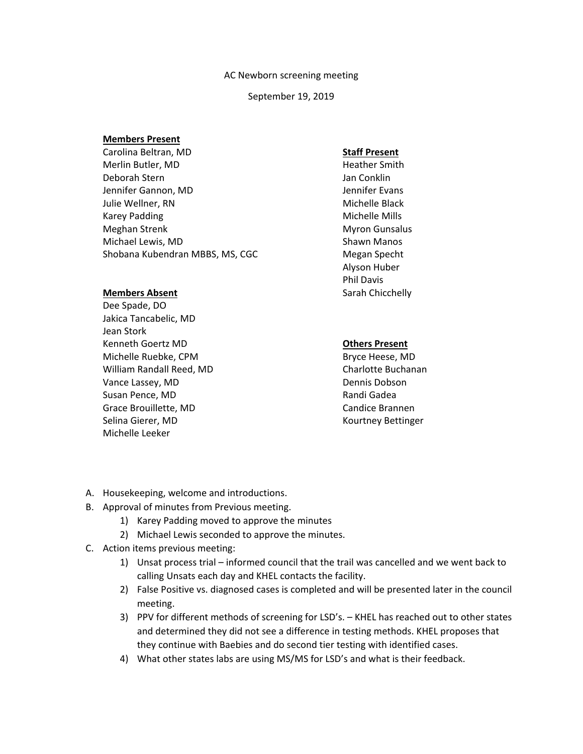#### AC Newborn screening meeting

#### September 19, 2019

#### **Members Present**

Carolina Beltran, MD Merlin Butler, MD Deborah Stern Jennifer Gannon, MD Julie Wellner, RN Karey Padding Meghan Strenk Michael Lewis, MD Shobana Kubendran MBBS, MS, CGC

# **Members Absent**

Dee Spade, DO Jakica Tancabelic, MD Jean Stork Kenneth Goertz MD Michelle Ruebke, CPM William Randall Reed, MD Vance Lassey, MD Susan Pence, MD Grace Brouillette, MD Selina Gierer, MD Michelle Leeker

# **Staff Present**

Heather Smith Jan Conklin Jennifer Evans Michelle Black Michelle Mills Myron Gunsalus Shawn Manos Megan Specht Alyson Huber Phil Davis Sarah Chicchelly

# **Others Present**

Bryce Heese, MD Charlotte Buchanan Dennis Dobson Randi Gadea Candice Brannen Kourtney Bettinger

- A. Housekeeping, welcome and introductions.
- B. Approval of minutes from Previous meeting.
	- 1) Karey Padding moved to approve the minutes
	- 2) Michael Lewis seconded to approve the minutes.
- C. Action items previous meeting:
	- 1) Unsat process trial informed council that the trail was cancelled and we went back to calling Unsats each day and KHEL contacts the facility.
	- 2) False Positive vs. diagnosed cases is completed and will be presented later in the council meeting.
	- 3) PPV for different methods of screening for LSD's. KHEL has reached out to other states and determined they did not see a difference in testing methods. KHEL proposes that they continue with Baebies and do second tier testing with identified cases.
	- 4) What other states labs are using MS/MS for LSD's and what is their feedback.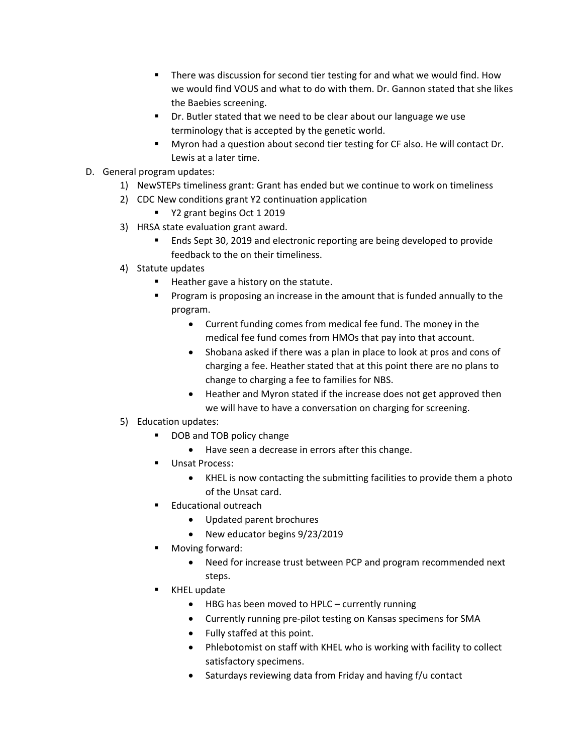- There was discussion for second tier testing for and what we would find. How we would find VOUS and what to do with them. Dr. Gannon stated that she likes the Baebies screening.
- Dr. Butler stated that we need to be clear about our language we use terminology that is accepted by the genetic world.
- Myron had a question about second tier testing for CF also. He will contact Dr. Lewis at a later time.
- D. General program updates:
	- 1) NewSTEPs timeliness grant: Grant has ended but we continue to work on timeliness
	- 2) CDC New conditions grant Y2 continuation application
		- Y2 grant begins Oct 1 2019
	- 3) HRSA state evaluation grant award.
		- Ends Sept 30, 2019 and electronic reporting are being developed to provide feedback to the on their timeliness.
	- 4) Statute updates
		- Heather gave a history on the statute.
		- Program is proposing an increase in the amount that is funded annually to the program.
			- Current funding comes from medical fee fund. The money in the medical fee fund comes from HMOs that pay into that account.
			- Shobana asked if there was a plan in place to look at pros and cons of charging a fee. Heather stated that at this point there are no plans to change to charging a fee to families for NBS.
			- Heather and Myron stated if the increase does not get approved then we will have to have a conversation on charging for screening.
	- 5) Education updates:
		- DOB and TOB policy change
			- Have seen a decrease in errors after this change.
		- Unsat Process:
			- KHEL is now contacting the submitting facilities to provide them a photo of the Unsat card.
		- Educational outreach
			- Updated parent brochures
			- New educator begins 9/23/2019
		- Moving forward:
			- Need for increase trust between PCP and program recommended next steps.
		- KHEL update
			- HBG has been moved to HPLC currently running
			- Currently running pre-pilot testing on Kansas specimens for SMA
			- Fully staffed at this point.
			- Phlebotomist on staff with KHEL who is working with facility to collect satisfactory specimens.
			- Saturdays reviewing data from Friday and having f/u contact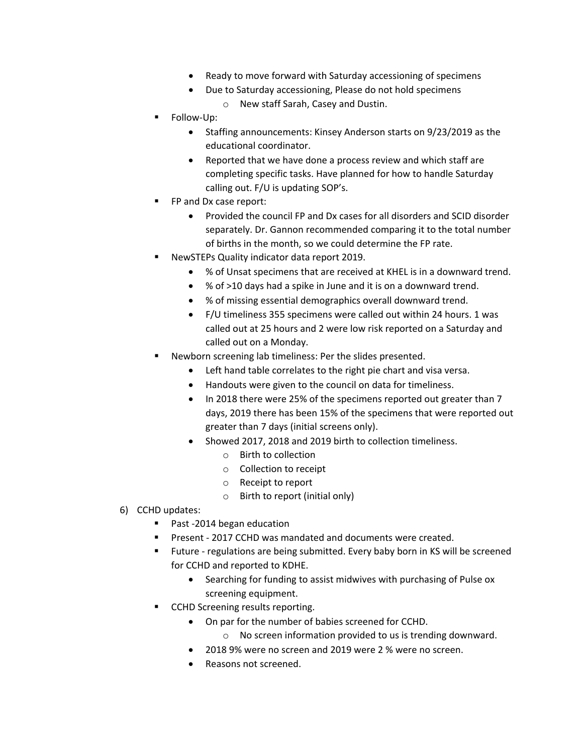- Ready to move forward with Saturday accessioning of specimens
- Due to Saturday accessioning, Please do not hold specimens o New staff Sarah, Casey and Dustin.
- **Follow-Up:** 
	- Staffing announcements: Kinsey Anderson starts on 9/23/2019 as the educational coordinator.
	- Reported that we have done a process review and which staff are completing specific tasks. Have planned for how to handle Saturday calling out. F/U is updating SOP's.
- FP and Dx case report:
	- Provided the council FP and Dx cases for all disorders and SCID disorder separately. Dr. Gannon recommended comparing it to the total number of births in the month, so we could determine the FP rate.
- NewSTEPs Quality indicator data report 2019.
	- % of Unsat specimens that are received at KHEL is in a downward trend.
	- % of >10 days had a spike in June and it is on a downward trend.
	- % of missing essential demographics overall downward trend.
	- F/U timeliness 355 specimens were called out within 24 hours. 1 was called out at 25 hours and 2 were low risk reported on a Saturday and called out on a Monday.
- Newborn screening lab timeliness: Per the slides presented.
	- Left hand table correlates to the right pie chart and visa versa.
	- Handouts were given to the council on data for timeliness.
	- In 2018 there were 25% of the specimens reported out greater than 7 days, 2019 there has been 15% of the specimens that were reported out greater than 7 days (initial screens only).
	- Showed 2017, 2018 and 2019 birth to collection timeliness.
		- o Birth to collection
		- o Collection to receipt
		- o Receipt to report
		- o Birth to report (initial only)
- 6) CCHD updates:
	- Past -2014 began education
	- Present 2017 CCHD was mandated and documents were created.
	- Future regulations are being submitted. Every baby born in KS will be screened for CCHD and reported to KDHE.
		- Searching for funding to assist midwives with purchasing of Pulse ox screening equipment.
	- CCHD Screening results reporting.
		- On par for the number of babies screened for CCHD.
			- o No screen information provided to us is trending downward.
		- 2018 9% were no screen and 2019 were 2 % were no screen.
		- Reasons not screened.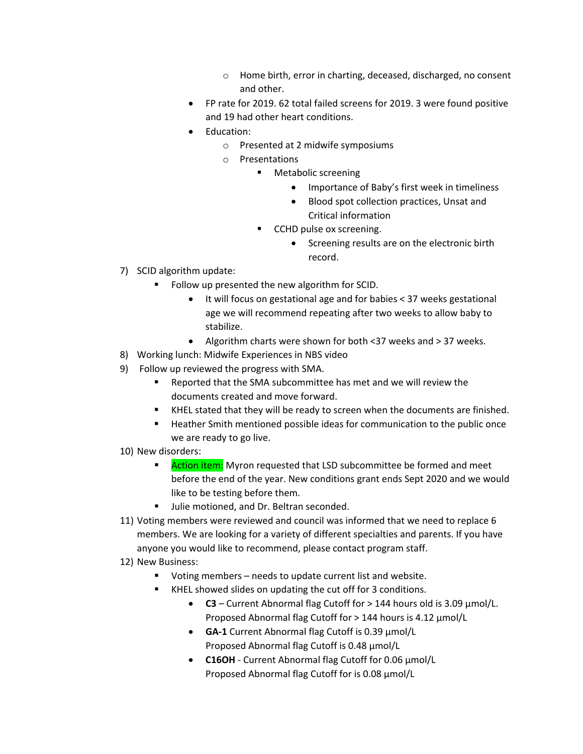- o Home birth, error in charting, deceased, discharged, no consent and other.
- FP rate for 2019. 62 total failed screens for 2019. 3 were found positive and 19 had other heart conditions.
- Education:
	- o Presented at 2 midwife symposiums
	- o Presentations
		- **Metabolic screening** 
			- Importance of Baby's first week in timeliness
			- Blood spot collection practices, Unsat and Critical information
		- **CCHD pulse ox screening.** 
			- Screening results are on the electronic birth record.
- 7) SCID algorithm update:
	- Follow up presented the new algorithm for SCID.
		- It will focus on gestational age and for babies < 37 weeks gestational age we will recommend repeating after two weeks to allow baby to stabilize.
		- Algorithm charts were shown for both <37 weeks and > 37 weeks.
- 8) Working lunch: Midwife Experiences in NBS video
- 9) Follow up reviewed the progress with SMA.
	- Reported that the SMA subcommittee has met and we will review the documents created and move forward.
	- KHEL stated that they will be ready to screen when the documents are finished.
	- **Heather Smith mentioned possible ideas for communication to the public once** we are ready to go live.
- 10) New disorders:
	- Action item: Myron requested that LSD subcommittee be formed and meet before the end of the year. New conditions grant ends Sept 2020 and we would like to be testing before them.
	- Ullie motioned, and Dr. Beltran seconded.
- 11) Voting members were reviewed and council was informed that we need to replace 6 members. We are looking for a variety of different specialties and parents. If you have anyone you would like to recommend, please contact program staff.
- 12) New Business:
	- Voting members needs to update current list and website.
	- KHEL showed slides on updating the cut off for 3 conditions.
		- **C3** Current Abnormal flag Cutoff for > 144 hours old is 3.09 µmol/L. Proposed Abnormal flag Cutoff for > 144 hours is 4.12 µmol/L
		- **GA-1** Current Abnormal flag Cutoff is 0.39 µmol/L Proposed Abnormal flag Cutoff is 0.48 µmol/L
		- **C16OH** Current Abnormal flag Cutoff for 0.06 µmol/L Proposed Abnormal flag Cutoff for is 0.08  $\mu$ mol/L